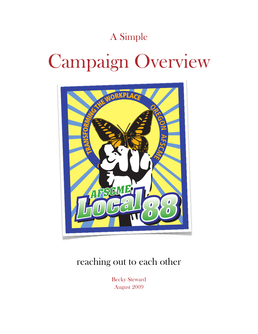### A Simple

# Campaign Overview



### reaching out to each other

Becky Steward August 2009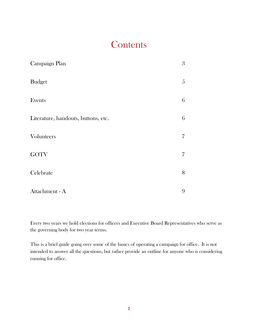### **Contents**

| Campaign Plan                       | 3 |
|-------------------------------------|---|
| <b>Budget</b>                       | 5 |
| Events                              | 6 |
| Literature, handouts, buttons, etc. | 6 |
| Volunteers                          | 7 |
| <b>GOTV</b>                         | 7 |
| Celebrate                           | 8 |
| Attachment - A                      | 9 |

Every two years we hold elections for officers and Executive Board Representatives who serve as the governing body for two year terms.

This is a brief guide going over some of the basics of operating a campaign for office. It is not intended to answer all the questions, but rather provide an outline for anyone who is considering running for office.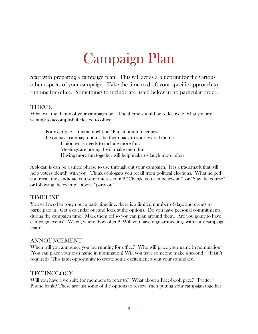## Campaign Plan

Start with preparing a campaign plan. This will act as a blueprint for the various other aspects of your campaign. Take the time to draft your specific approach to running for office. Somethings to include are listed below in no particular order.

#### THEME

What will the theme of your campaign be? The theme should be reflective of what you are wanting to accomplish if elected to office.

 For example: a theme might be "Fun at union meetings." If you have campaign points tie them back to your overall theme. Union work needs to include more fun. Meetings are boring, I will make them fun Having more fun together will help make us laugh more often

A slogan is can be a single phrase to use through out your campaign. It is a trademark that will help voters identify with you. Think of slogans you recall from political elections. What helped you recall the candidate you were interested in? "Change you can believe-in" or "Stay the course" or following the example above "party on"

#### TIMELINE

You will need to rough out a basic timeline, there is a limited number of days and events to participate in. Get a calendar out and look at the options. Do you have personal commitments during the campaign time. Mark them off so you can plan around them. Are you going to have campaign events? When, where, how often? Will you have regular meetings with your campaign team?

#### ANNOUNCEMENT

When will you announce you are running for office? Who will place your name in nomination? (You can place your own name in nomination) Will you have someone make a second? (It isn't required) This is an opportunity to create some excitement about your candidacy.

#### TECHNOLOGY

Will you have a web site for members to refer to? What about a Face-book page? Twitter? Phone bank? These are just some of the options to review when putting your campaign together.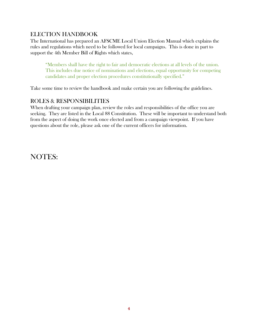### ELECTION HANDBOOK

The International has prepared an AFSCME Local Union Election Manual which explains the rules and regulations which need to be followed for local campaigns. This is done in part to support the 4th Member Bill of Rights which states,

"Members shall have the right to fair and democratic elections at all levels of the union. This includes due notice of nominations and elections, equal opportunity for competing candidates and proper election procedures constitutionally specified."

Take some time to review the handbook and make certain you are following the guidelines.

#### ROLES & RESPONSIBILITIES

When drafting your campaign plan, review the roles and responsibilities of the office you are seeking. They are listed in the Local 88 Constitution. These will be important to understand both from the aspect of doing the work once elected and from a campaign viewpoint. If you have questions about the role, please ask one of the current officers for information.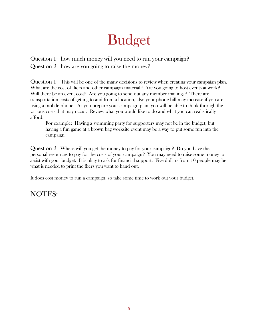## Budget

Question 1: how much money will you need to run your campaign? Question 2: how are you going to raise the money?

Question 1: This will be one of the many decisions to review when creating your campaign plan. What are the cost of fliers and other campaign material? Are you going to host events at work? Will there be an event cost? Are you going to send out any member mailings? There are transportation costs of getting to and from a location, also your phone bill may increase if you are using a mobile phone. As you prepare your campaign plan, you will be able to think through the various costs that may occur. Review what you would like to do and what you can realistically afford.

 For example: Having a swimming party for supporters may not be in the budget, but having a fun game at a brown bag worksite event may be a way to put some fun into the campaign.

Question 2: Where will you get the money to pay for your campaign? Do you have the personal resources to pay for the costs of your campaign? You may need to raise some money to assist with your budget. It is okay to ask for financial support. Five dollars from 10 people may be what is needed to print the fliers you want to hand out.

It does cost money to run a campaign, so take some time to work out your budget.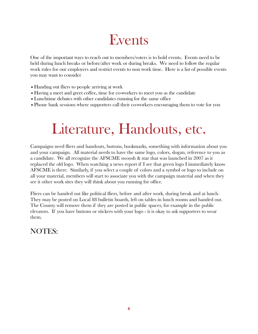### Events

One of the important ways to reach out to members/voters is to hold events. Events need to be held during lunch breaks or before/after work or during breaks. We need to follow the regular work rules for our employers and restrict events to non work time. Here is a list of possible events you may want to consider

- Handing out fliers to people arriving at work
- •Having a meet and greet coffee, time for co-workers to meet you as the candidate
- •Lunchtime debates with other candidates running for the same office
- •Phone bank sessions where supporters call their co-workers encouraging them to vote for you

## Literature, Handouts, etc.

Campaigns need fliers and handouts, buttons, bookmarks, something with information about you and your campaign. All material needs to have the same logo, colors, slogan, reference to you as a candidate. We all recognize the AFSCME swoosh & star that was launched in 2007 as it replaced the old logo. When watching a news report if I see that green logo I immediately know AFSCME is there. Similarly, if you select a couple of colors and a symbol or logo to include on all your material, members will start to associate you with the campaign material and when they see it other work sites they will think about you running for office.

Fliers can be handed out like political fliers, before and after work, during break and at lunch. They may be posted on Local 88 bulletin boards, left on tables in lunch rooms and handed out. The County will remove them if they are posted in public spaces, for example in the public elevators. If you have buttons or stickers with your logo - it is okay to ask supporters to wear them.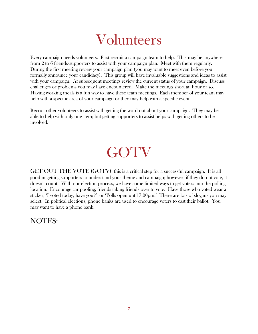### Volunteers

Every campaign needs volunteers. First recruit a campaign team to help. This may be anywhere from 2 to 6 friends/supporters to assist with your campaign plan. Meet with them regularly. During the first meeting review your campaign plan (you may want to meet even before you formally announce your candidacy). This group will have invaluable suggestions and ideas to assist with your campaign. At subsequent meetings review the current status of your campaign. Discuss challenges or problems you may have encountered. Make the meetings short an hour or so. Having working meals is a fun way to have these team meetings. Each member of your team may help with a specific area of your campaign or they may help with a specific event.

Recruit other volunteers to assist with getting the word out about your campaign. They may be able to help with only one item; but getting supporters to assist helps with getting others to be involved.

## GOTV

GET OUT THE VOTE (GOTV) this is a critical step for a successful campaign. It is all good in getting supporters to understand your theme and campaign; however, if they do not vote, it doesn't count. With our election process, we have some limited ways to get voters into the polling location. Encourage car pooling; friends taking friends over to vote. Have those who voted wear a sticker; 'I voted today, have you?' or 'Polls open until 7:00pm.' There are lots of slogans you may select. In political elections, phone banks are used to encourage voters to cast their ballot. You may want to have a phone bank.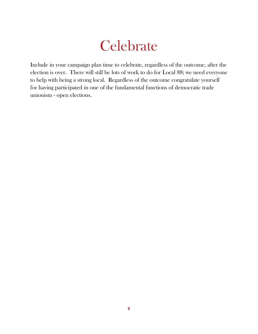### **Celebrate**

Include in your campaign plan time to celebrate, regardless of the outcome, after the election is over. There will still be lots of work to do for Local 88; we need everyone to help with being a strong local. Regardless of the outcome congratulate yourself for having participated in one of the fundamental functions of democratic trade unionism - open elections.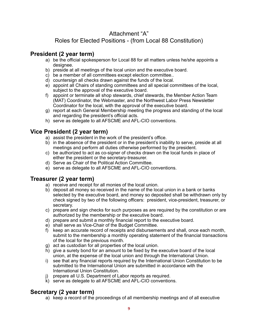### Attachment "A"

### Roles for Elected Positions - (from Local 88 Constitution)

### **President (2 year term)**

- a) be the official spokesperson for Local 88 for all matters unless he/she appoints a designee.
- b) preside at all meetings of the local union and the executive board.
- c) be a member of all committees except election committee..
- d) countersign all checks drawn against the funds of the local.
- e) appoint all Chairs of standing committees and all special committees of the local, subject to the approval of the executive board.
- f) appoint or terminate all shop stewards, chief stewards, the Member Action Team (MAT) Coordinator, the Webmaster, and the Northwest Labor Press Newsletter Coordinator for the local, with the approval of the executive board.
- g) report at each General Membership meeting the progress and standing of the local and regarding the president's official acts.
- h) serve as delegate to all AFSCME and AFL-CIO conventions.

### **Vice President (2 year term)**

- a) assist the president in the work of the president's office.
- b) in the absence of the president or in the president's inability to serve, preside at all meetings and perform all duties otherwise performed by the president.
- c) be authorized to act as co-signer of checks drawn on the local funds in place of either the president or the secretary-treasurer.
- d) Serve as Chair of the Political Action Committee.
- e) serve as delegate to all AFSCME and AFL-CIO conventions.

### **Treasurer (2 year term)**

- a) receive and receipt for all monies of the local union.
- b) deposit all money so received in the name of the local union in a bank or banks selected by the executive board, and money so deposited shall be withdrawn only by check signed by two of the following officers: president, vice-president, treasurer, or secretary.
- c) prepare and sign checks for such purposes as are required by the constitution or are authorized by the membership or the executive board.
- d) prepare and submit a monthly financial report to the executive board.
- e) shall serve as Vice-Chair of the Budget Committee.
- f) keep an accurate record of receipts and disbursements and shall, once each month, submit to the membership a monthly operating statement of the financial transactions of the local for the previous month.
- g) act as custodian for all properties of the local union.
- h) give a surety bond for an amount to be fixed by the executive board of the local union, at the expense of the local union and through the International Union.
- i) see that any financial reports required by the International Union Constitution to be submitted to the International Union are submitted in accordance with the International Union Constitution.
- j) prepare all U.S. Department of Labor reports as required.
- k) serve as delegate to all AFSCME and AFL-CIO conventions.

### **Secretary (2 year term)**

a) keep a record of the proceedings of all membership meetings and of all executive